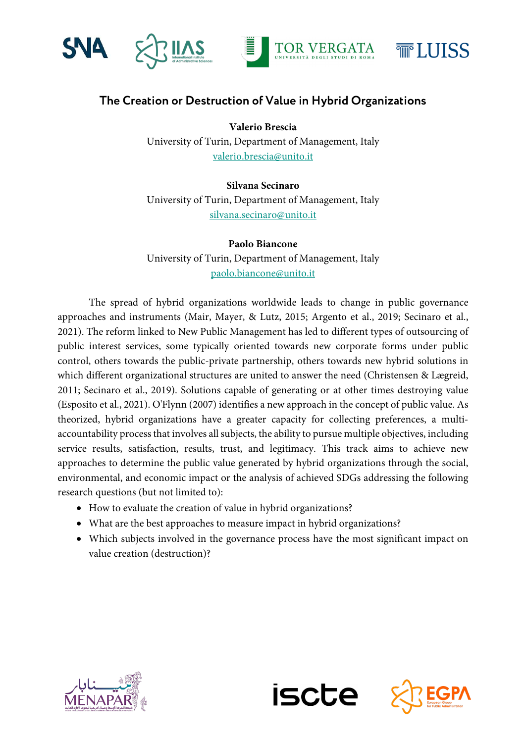





## **The Creation or Destruction of Value in Hybrid Organizations**

**Valerio Brescia**  University of Turin, Department of Management, Italy valerio.brescia@unito.it

**Silvana Secinaro**  University of Turin, Department of Management, Italy silvana.secinaro@unito.it

**Paolo Biancone**  University of Turin, Department of Management, Italy paolo.biancone@unito.it

The spread of hybrid organizations worldwide leads to change in public governance approaches and instruments (Mair, Mayer, & Lutz, 2015; Argento et al., 2019; Secinaro et al., 2021). The reform linked to New Public Management has led to different types of outsourcing of public interest services, some typically oriented towards new corporate forms under public control, others towards the public-private partnership, others towards new hybrid solutions in which different organizational structures are united to answer the need (Christensen & Lægreid, 2011; Secinaro et al., 2019). Solutions capable of generating or at other times destroying value (Esposito et al., 2021). O'Flynn (2007) identifies a new approach in the concept of public value. As theorized, hybrid organizations have a greater capacity for collecting preferences, a multiaccountability process that involves all subjects, the ability to pursue multiple objectives, including service results, satisfaction, results, trust, and legitimacy. This track aims to achieve new approaches to determine the public value generated by hybrid organizations through the social, environmental, and economic impact or the analysis of achieved SDGs addressing the following research questions (but not limited to):

- How to evaluate the creation of value in hybrid organizations?
- What are the best approaches to measure impact in hybrid organizations?
- Which subjects involved in the governance process have the most significant impact on value creation (destruction)?





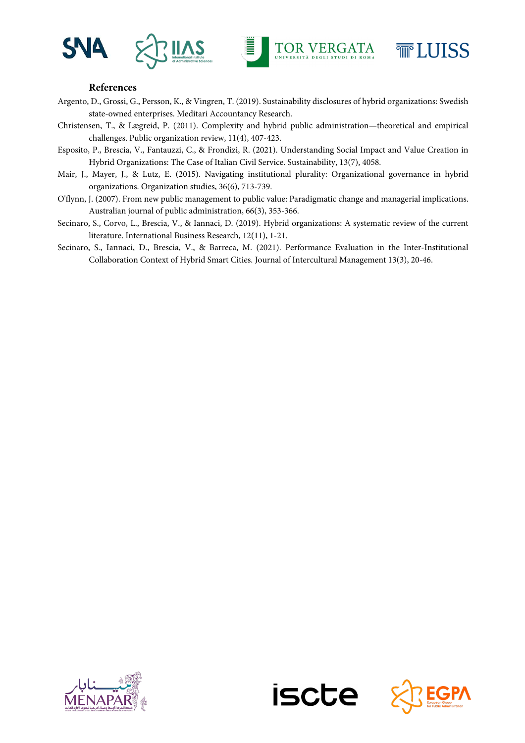





#### **References**

- Argento, D., Grossi, G., Persson, K., & Vingren, T. (2019). Sustainability disclosures of hybrid organizations: Swedish state-owned enterprises. Meditari Accountancy Research.
- Christensen, T., & Lægreid, P. (2011). Complexity and hybrid public administration—theoretical and empirical challenges. Public organization review, 11(4), 407-423.
- Esposito, P., Brescia, V., Fantauzzi, C., & Frondizi, R. (2021). Understanding Social Impact and Value Creation in Hybrid Organizations: The Case of Italian Civil Service. Sustainability, 13(7), 4058.
- Mair, J., Mayer, J., & Lutz, E. (2015). Navigating institutional plurality: Organizational governance in hybrid organizations. Organization studies, 36(6), 713-739.
- O'flynn, J. (2007). From new public management to public value: Paradigmatic change and managerial implications. Australian journal of public administration, 66(3), 353-366.
- Secinaro, S., Corvo, L., Brescia, V., & Iannaci, D. (2019). Hybrid organizations: A systematic review of the current literature. International Business Research, 12(11), 1-21.
- Secinaro, S., Iannaci, D., Brescia, V., & Barreca, M. (2021). Performance Evaluation in the Inter-Institutional Collaboration Context of Hybrid Smart Cities. Journal of Intercultural Management 13(3), 20-46.







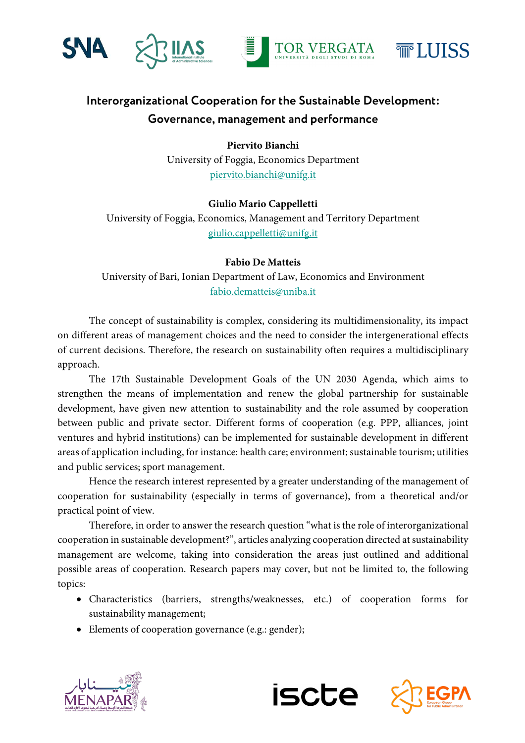





# **Interorganizational Cooperation for the Sustainable Development: Governance, management and performance**

**Piervito Bianchi**  University of Foggia, Economics Department piervito.bianchi@unifg.it

### **Giulio Mario Cappelletti**

University of Foggia, Economics, Management and Territory Department giulio.cappelletti@unifg.it

#### **Fabio De Matteis**

University of Bari, Ionian Department of Law, Economics and Environment fabio.dematteis@uniba.it

The concept of sustainability is complex, considering its multidimensionality, its impact on different areas of management choices and the need to consider the intergenerational effects of current decisions. Therefore, the research on sustainability often requires a multidisciplinary approach.

The 17th Sustainable Development Goals of the UN 2030 Agenda, which aims to strengthen the means of implementation and renew the global partnership for sustainable development, have given new attention to sustainability and the role assumed by cooperation between public and private sector. Different forms of cooperation (e.g. PPP, alliances, joint ventures and hybrid institutions) can be implemented for sustainable development in different areas of application including, for instance: health care; environment; sustainable tourism; utilities and public services; sport management.

Hence the research interest represented by a greater understanding of the management of cooperation for sustainability (especially in terms of governance), from a theoretical and/or practical point of view.

Therefore, in order to answer the research question "what is the role of interorganizational cooperation in sustainable development?", articles analyzing cooperation directed at sustainability management are welcome, taking into consideration the areas just outlined and additional possible areas of cooperation. Research papers may cover, but not be limited to, the following topics:

- Characteristics (barriers, strengths/weaknesses, etc.) of cooperation forms for sustainability management;
- Elements of cooperation governance (e.g.: gender);







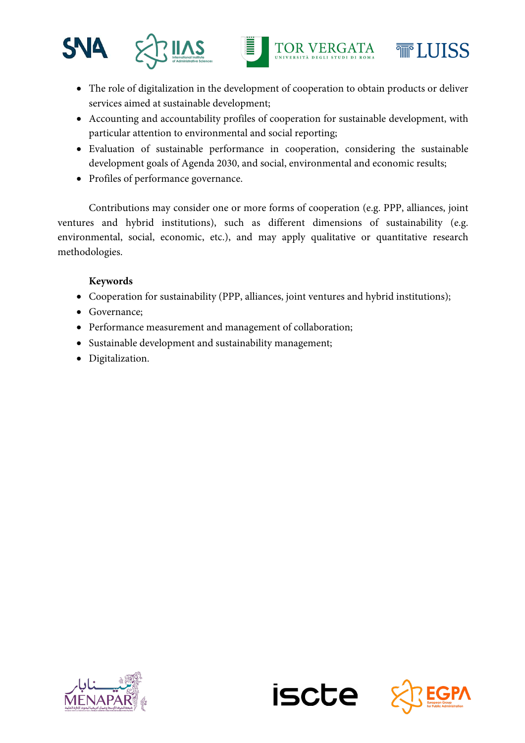







- Accounting and accountability profiles of cooperation for sustainable development, with particular attention to environmental and social reporting;
- Evaluation of sustainable performance in cooperation, considering the sustainable development goals of Agenda 2030, and social, environmental and economic results;
- Profiles of performance governance.

Contributions may consider one or more forms of cooperation (e.g. PPP, alliances, joint ventures and hybrid institutions), such as different dimensions of sustainability (e.g. environmental, social, economic, etc.), and may apply qualitative or quantitative research methodologies.

### **Keywords**

- Cooperation for sustainability (PPP, alliances, joint ventures and hybrid institutions);
- Governance;
- Performance measurement and management of collaboration;
- Sustainable development and sustainability management;
- Digitalization.









**TELUISS**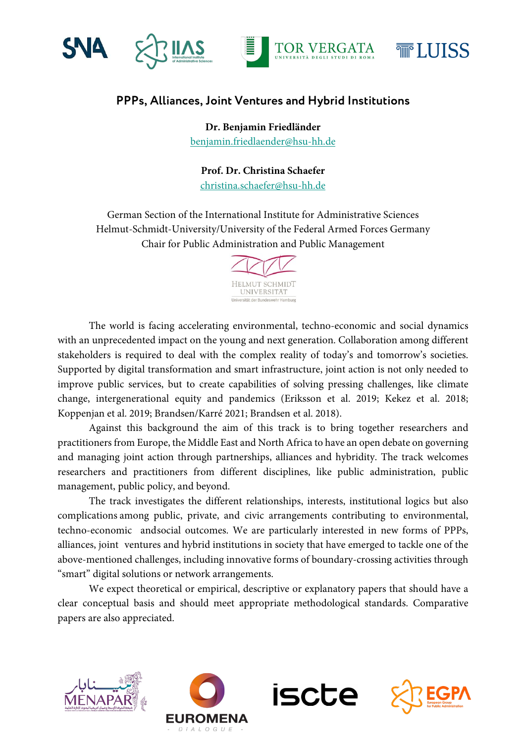



**TELUISS** 



**Dr. Benjamin Friedländer**  benjamin.friedlaender@hsu-hh.de

**Prof. Dr. Christina Schaefer** christina.schaefer@hsu-hh.de

German Section of the International Institute for Administrative Sciences Helmut-Schmidt-University/University of the Federal Armed Forces Germany Chair for Public Administration and Public Management



The world is facing accelerating environmental, techno-economic and social dynamics with an unprecedented impact on the young and next generation. Collaboration among different stakeholders is required to deal with the complex reality of today's and tomorrow's societies. Supported by digital transformation and smart infrastructure, joint action is not only needed to improve public services, but to create capabilities of solving pressing challenges, like climate change, intergenerational equity and pandemics (Eriksson et al. 2019; Kekez et al. 2018; Koppenjan et al. 2019; Brandsen/Karré 2021; Brandsen et al. 2018).

Against this background the aim of this track is to bring together researchers and practitioners from Europe, the Middle East and North Africa to have an open debate on governing and managing joint action through partnerships, alliances and hybridity. The track welcomes researchers and practitioners from different disciplines, like public administration, public management, public policy, and beyond.

The track investigates the different relationships, interests, institutional logics but also complications among public, private, and civic arrangements contributing to environmental, techno-economic andsocial outcomes. We are particularly interested in new forms of PPPs, alliances, joint ventures and hybrid institutions in society that have emerged to tackle one of the above-mentioned challenges, including innovative forms of boundary-crossing activities through "smart" digital solutions or network arrangements.

We expect theoretical or empirical, descriptive or explanatory papers that should have a clear conceptual basis and should meet appropriate methodological standards. Comparative papers are also appreciated.







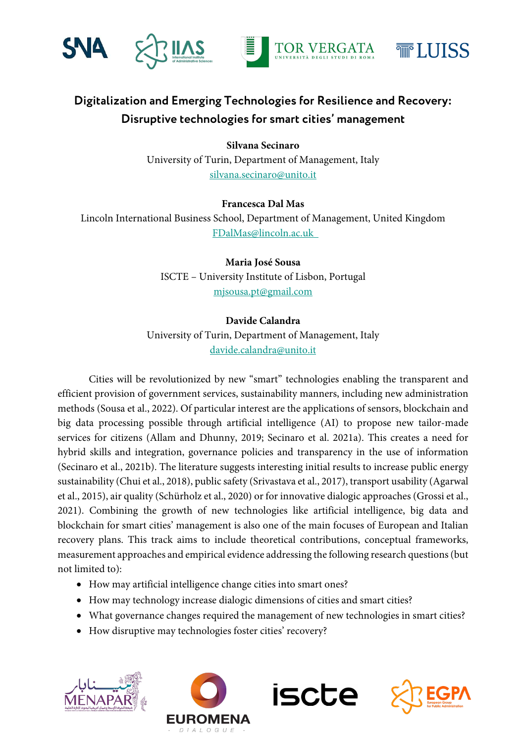





# **Digitalization and Emerging Technologies for Resilience and Recovery: Disruptive technologies for smart cities' management**

**Silvana Secinaro**

University of Turin, Department of Management, Italy silvana.secinaro@unito.it

**Francesca Dal Mas**

Lincoln International Business School, Department of Management, United Kingdom FDalMas@lincoln.ac.uk

> **Maria José Sousa** ISCTE – University Institute of Lisbon, Portugal mjsousa.pt@gmail.com

### **Davide Calandra**

University of Turin, Department of Management, Italy davide.calandra@unito.it

Cities will be revolutionized by new "smart" technologies enabling the transparent and efficient provision of government services, sustainability manners, including new administration methods (Sousa et al., 2022). Of particular interest are the applications of sensors, blockchain and big data processing possible through artificial intelligence (AI) to propose new tailor-made services for citizens (Allam and Dhunny, 2019; Secinaro et al. 2021a). This creates a need for hybrid skills and integration, governance policies and transparency in the use of information (Secinaro et al., 2021b). The literature suggests interesting initial results to increase public energy sustainability (Chui et al., 2018), public safety (Srivastava et al., 2017), transport usability (Agarwal et al., 2015), air quality (Schürholz et al., 2020) or for innovative dialogic approaches (Grossi et al., 2021). Combining the growth of new technologies like artificial intelligence, big data and blockchain for smart cities' management is also one of the main focuses of European and Italian recovery plans. This track aims to include theoretical contributions, conceptual frameworks, measurement approaches and empirical evidence addressing the following research questions(but not limited to):

- How may artificial intelligence change cities into smart ones?
- How may technology increase dialogic dimensions of cities and smart cities?
- What governance changes required the management of new technologies in smart cities?
- How disruptive may technologies foster cities' recovery?







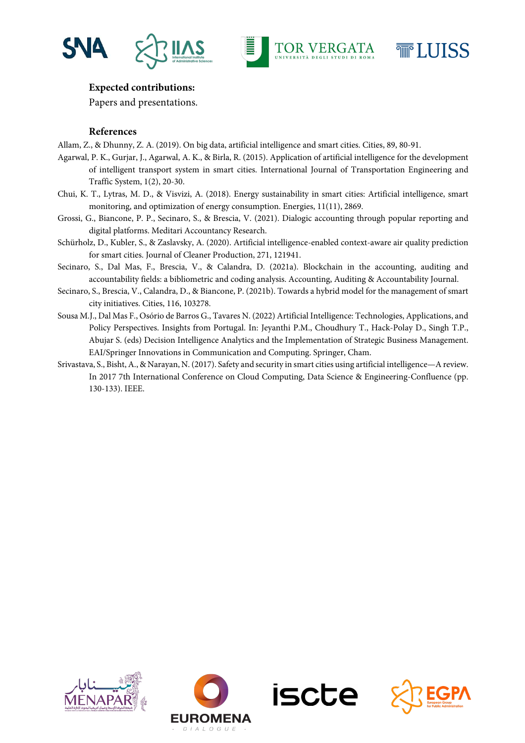



$$
\overline{\overline{\P\P}}\text{LUISS}
$$

#### **Expected contributions:**

Papers and presentations.

#### **References**

- Allam, Z., & Dhunny, Z. A. (2019). On big data, artificial intelligence and smart cities. Cities, 89, 80-91.
- Agarwal, P. K., Gurjar, J., Agarwal, A. K., & Birla, R. (2015). Application of artificial intelligence for the development of intelligent transport system in smart cities. International Journal of Transportation Engineering and Traffic System, 1(2), 20-30.
- Chui, K. T., Lytras, M. D., & Visvizi, A. (2018). Energy sustainability in smart cities: Artificial intelligence, smart monitoring, and optimization of energy consumption. Energies, 11(11), 2869.
- Grossi, G., Biancone, P. P., Secinaro, S., & Brescia, V. (2021). Dialogic accounting through popular reporting and digital platforms. Meditari Accountancy Research.
- Schürholz, D., Kubler, S., & Zaslavsky, A. (2020). Artificial intelligence-enabled context-aware air quality prediction for smart cities. Journal of Cleaner Production, 271, 121941.
- Secinaro, S., Dal Mas, F., Brescia, V., & Calandra, D. (2021a). Blockchain in the accounting, auditing and accountability fields: a bibliometric and coding analysis. Accounting, Auditing & Accountability Journal.
- Secinaro, S., Brescia, V., Calandra, D., & Biancone, P. (2021b). Towards a hybrid model for the management of smart city initiatives. Cities, 116, 103278.
- Sousa M.J., Dal Mas F., Osório de Barros G., Tavares N. (2022) Artificial Intelligence: Technologies, Applications, and Policy Perspectives. Insights from Portugal. In: Jeyanthi P.M., Choudhury T., Hack-Polay D., Singh T.P., Abujar S. (eds) Decision Intelligence Analytics and the Implementation of Strategic Business Management. EAI/Springer Innovations in Communication and Computing. Springer, Cham.
- Srivastava, S., Bisht, A., & Narayan, N. (2017). Safety and security in smart cities using artificial intelligence—A review. In 2017 7th International Conference on Cloud Computing, Data Science & Engineering-Confluence (pp. 130-133). IEEE.